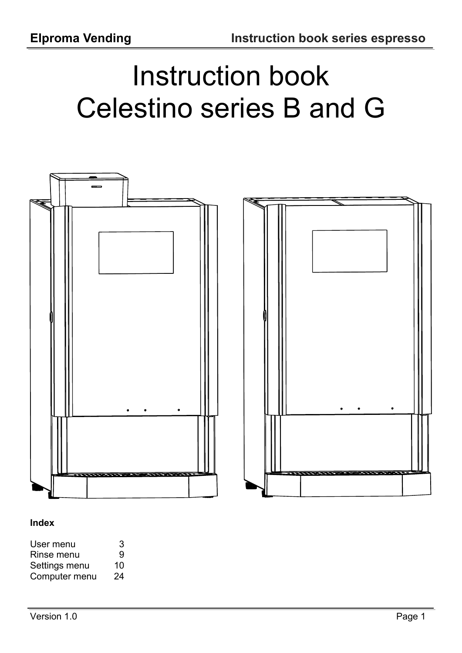# Instruction book Celestino series B and G



### **Index**

| User menu     | 3  |
|---------------|----|
| Rinse menu    | 9  |
| Settings menu | 10 |
| Computer menu | 24 |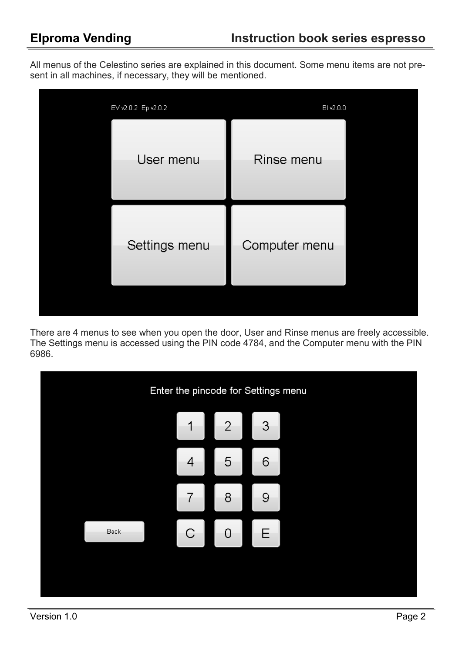All menus of the Celestino series are explained in this document. Some menu items are not present in all machines, if necessary, they will be mentioned.



There are 4 menus to see when you open the door, User and Rinse menus are freely accessible. The Settings menu is accessed using the PIN code 4784, and the Computer menu with the PIN 6986.

|      | Enter the pincode for Settings menu |                |              |  |  |
|------|-------------------------------------|----------------|--------------|--|--|
|      | 1                                   | $\overline{2}$ | $\mathbf{3}$ |  |  |
|      | 4                                   | 5              | 6            |  |  |
|      | 7                                   | 8              | 9            |  |  |
| Back | $\mathsf{C}$                        | 0              | Ε            |  |  |
|      |                                     |                |              |  |  |
|      |                                     |                |              |  |  |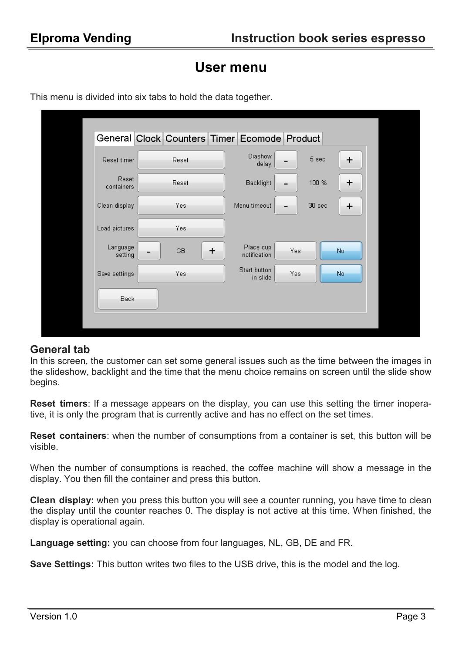## **User menu**

|                     | General Clock Counters Timer Ecomode Product |                           |        |           |
|---------------------|----------------------------------------------|---------------------------|--------|-----------|
| Reset timer         | Reset                                        | Diashow<br>delay          | 5 sec  | $\ddot{}$ |
| Reset<br>containers | Reset                                        | Backlight                 | 100 %  | $\pm$     |
| Clean display       | Yes                                          | Menu timeout              | 30 sec | $\pm$     |
| Load pictures       | Yes                                          |                           |        |           |
| Language<br>setting | $\pm$<br>GB                                  | Place cup<br>notification | Yes    | No.       |
| Save settings       | Yes                                          | Start button<br>in slide  | Yes    | No.       |
| Back                |                                              |                           |        |           |
|                     |                                              |                           |        |           |

This menu is divided into six tabs to hold the data together.

### **General tab**

In this screen, the customer can set some general issues such as the time between the images in the slideshow, backlight and the time that the menu choice remains on screen until the slide show begins.

**Reset timers**: If a message appears on the display, you can use this setting the timer inoperative, it is only the program that is currently active and has no effect on the set times.

**Reset containers**: when the number of consumptions from a container is set, this button will be visible.

When the number of consumptions is reached, the coffee machine will show a message in the display. You then fill the container and press this button.

**Clean display:** when you press this button you will see a counter running, you have time to clean the display until the counter reaches 0. The display is not active at this time. When finished, the display is operational again.

**Language setting:** you can choose from four languages, NL, GB, DE and FR.

**Save Settings:** This button writes two files to the USB drive, this is the model and the log.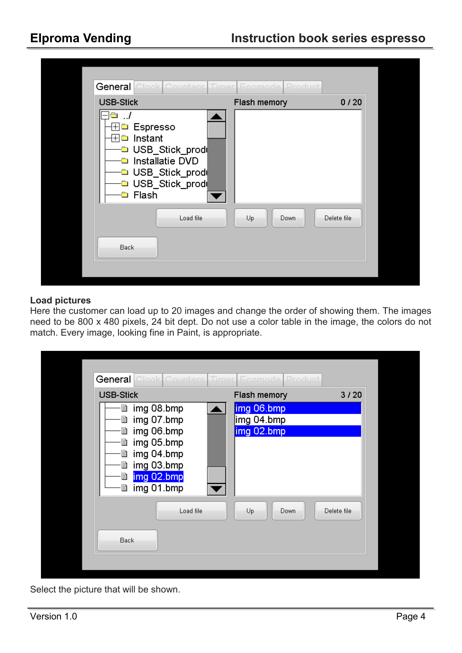| General<br><b>USB-Stick</b>                                                                                                                                      | Flash memory | 0/20        |
|------------------------------------------------------------------------------------------------------------------------------------------------------------------|--------------|-------------|
| □ Espresso<br>$+$<br>$\Box$ Instant<br>$\overline{+}$<br>□ USB_Stick_prode<br><b>□</b> Installatie DVD<br>□ USB_Stick_prod<br>□ USB_Stick_prod<br><b>□</b> Flash |              |             |
| Load file                                                                                                                                                        | Up<br>Down   | Delete file |
| Back                                                                                                                                                             |              |             |

### **Load pictures**

Here the customer can load up to 20 images and change the order of showing them. The images need to be 800 x 480 pixels, 24 bit dept. Do not use a color table in the image, the colors do not match. Every image, looking fine in Paint, is appropriate.

| <b>General</b> Clock Counters                                                                                                                     | Timer Ecomode Product                  |             |
|---------------------------------------------------------------------------------------------------------------------------------------------------|----------------------------------------|-------------|
| <b>USB-Stick</b>                                                                                                                                  | Flash memory                           | 3/20        |
| <b>■ img 08.bmp</b><br><b>■ img 07.bmp</b><br>■ img 06.bmp<br>■ img 05.bmp<br>■ img 04.bmp<br><b>■ img 03.bmp</b><br>■ img 02.bmp<br>■ img 01.bmp | img 06.bmp<br>img 04.bmp<br>img 02.bmp |             |
| Load file<br>Back                                                                                                                                 | Up<br>Down                             | Delete file |
|                                                                                                                                                   |                                        |             |

Select the picture that will be shown.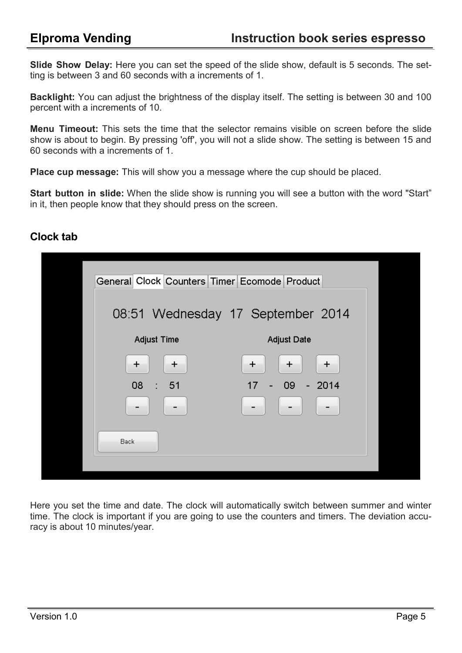**Slide Show Delay:** Here you can set the speed of the slide show, default is 5 seconds. The setting is between 3 and 60 seconds with a increments of 1.

**Backlight:** You can adjust the brightness of the display itself. The setting is between 30 and 100 percent with a increments of 10.

**Menu Timeout:** This sets the time that the selector remains visible on screen before the slide show is about to begin. By pressing 'off', you will not a slide show. The setting is between 15 and 60 seconds with a increments of 1.

**Place cup message:** This will show you a message where the cup should be placed.

**Start button in slide:** When the slide show is running you will see a button with the word "Start" in it, then people know that they should press on the screen.

### **Clock tab**

| General Clock Counters Timer Ecomode Product |                                                            |
|----------------------------------------------|------------------------------------------------------------|
|                                              | 08:51 Wednesday 17 September 2014                          |
| <b>Adjust Time</b>                           | <b>Adjust Date</b>                                         |
| $\pm$<br>$\pm$                               | $\pm$<br>$\pm$<br>$\ddot{}$                                |
| 08 : 51                                      | 17 <sup>2</sup><br>$09 - 2014$<br>$\overline{\phantom{a}}$ |
|                                              |                                                            |
| Back:                                        |                                                            |
|                                              |                                                            |

Here you set the time and date. The clock will automatically switch between summer and winter time. The clock is important if you are going to use the counters and timers. The deviation accuracy is about 10 minutes/year.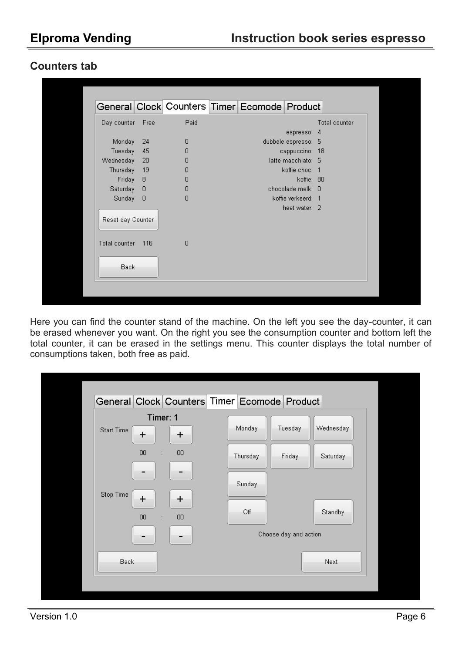### **Counters tab**

|                        |        |                | General Clock Counters Timer Ecomode Product |                     |               |
|------------------------|--------|----------------|----------------------------------------------|---------------------|---------------|
| Day counter Free       |        | Paid           |                                              |                     | Total counter |
|                        |        |                |                                              | espresso: 4         |               |
| Monday 24              |        | $\overline{0}$ |                                              | dubbele espresso: 5 |               |
| Tuesday                | -45    | $\overline{0}$ |                                              | cappuccino: 18      |               |
| Wednesday              | -20    | $\Box$         |                                              | latte macchiato: 5  |               |
| Thursday               | 19     | $\Box$         |                                              | koffie choc: 1      |               |
| Friday 8               |        | 0              |                                              | koffie: 80          |               |
| Saturday 0             |        | $\overline{0}$ |                                              | chocolade melk: 0   |               |
| Sunday 0               |        | $\Box$         |                                              | koffie verkeerd: 1  |               |
| Reset day Counter      |        |                |                                              | heet water: 2       |               |
| Total counter<br>Back: | $-116$ | $\overline{0}$ |                                              |                     |               |

Here you can find the counter stand of the machine. On the left you see the day-counter, it can be erased whenever you want. On the right you see the consumption counter and bottom left the total counter, it can be erased in the settings menu. This counter displays the total number of consumptions taken, both free as paid.

|            |                                |        | General Clock Counters Timer Ecomode Product |                       |           |  |
|------------|--------------------------------|--------|----------------------------------------------|-----------------------|-----------|--|
|            | Timer: 1                       |        |                                              |                       |           |  |
| Start Time | $\ddot{}$                      | +      | Monday                                       | Tuesday               | Wednesday |  |
|            | $00\,$<br>÷                    | $00\,$ | Thursday                                     | Friday                | Saturday  |  |
|            |                                |        | Sunday                                       |                       |           |  |
| Stop Time  | $\ddot{}$                      | $\pm$  |                                              |                       |           |  |
|            | $00\,$<br>$\ddot{\phantom{a}}$ | $00\,$ | Off                                          |                       | Standby   |  |
|            |                                |        |                                              | Choose day and action |           |  |
| Back       |                                |        |                                              |                       | Next      |  |
|            |                                |        |                                              |                       |           |  |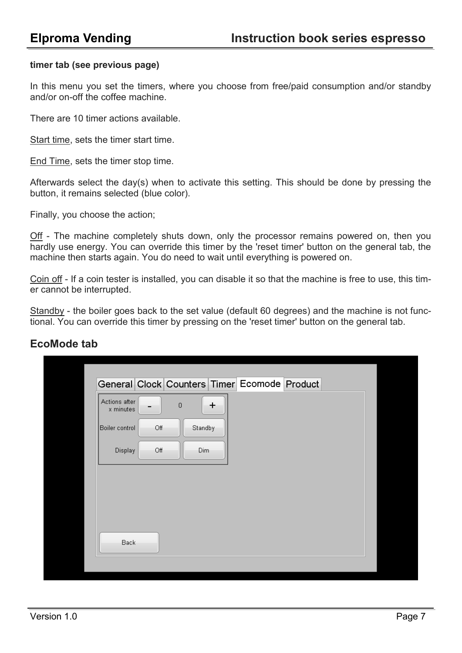### **timer tab (see previous page)**

In this menu you set the timers, where you choose from free/paid consumption and/or standby and/or on-off the coffee machine.

There are 10 timer actions available.

Start time, sets the timer start time.

End Time, sets the timer stop time.

Afterwards select the day(s) when to activate this setting. This should be done by pressing the button, it remains selected (blue color).

Finally, you choose the action;

Off - The machine completely shuts down, only the processor remains powered on, then you hardly use energy. You can override this timer by the 'reset timer' button on the general tab, the machine then starts again. You do need to wait until everything is powered on.

Coin off - If a coin tester is installed, you can disable it so that the machine is free to use, this timer cannot be interrupted.

Standby - the boiler goes back to the set value (default 60 degrees) and the machine is not functional. You can override this timer by pressing on the 'reset timer' button on the general tab.

**EcoMode tab**

| Actions after<br>x minutes | $\mathbf 0$<br>- | $\ddot{}$ | General Clock Counters Timer Ecomode Product |  |
|----------------------------|------------------|-----------|----------------------------------------------|--|
| Boiler control             | Off              | Standby   |                                              |  |
| <b>Display</b>             | Off              | Dim       |                                              |  |
|                            |                  |           |                                              |  |
|                            |                  |           |                                              |  |
|                            |                  |           |                                              |  |
|                            |                  |           |                                              |  |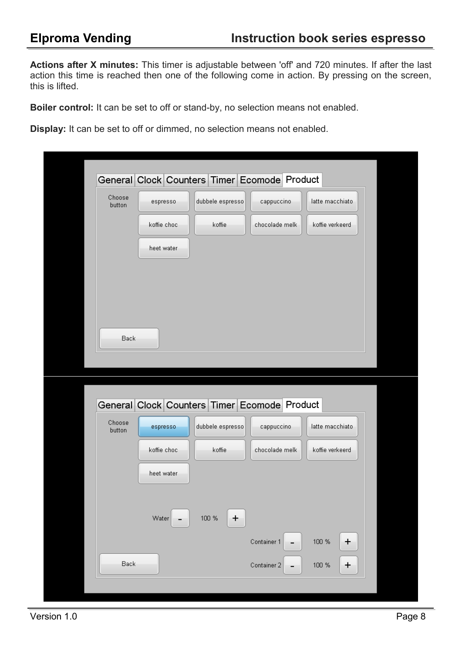**Actions after X minutes:** This timer is adjustable between 'off' and 720 minutes. If after the last action this time is reached then one of the following come in action. By pressing on the screen, this is lifted.

**Boiler control:** It can be set to off or stand-by, no selection means not enabled.

**Display:** It can be set to off or dimmed, no selection means not enabled.

|                  |             | General Clock Counters Timer Ecomode Product |                |                       |
|------------------|-------------|----------------------------------------------|----------------|-----------------------|
| Choose<br>button | espresso    | dubbele espresso                             | cappuccino     | latte macchiato       |
|                  | koffie choc | koffie                                       | chocolade melk | koffie verkeerd       |
|                  | heet water  |                                              |                |                       |
|                  |             |                                              |                |                       |
|                  |             |                                              |                |                       |
|                  |             |                                              |                |                       |
| Back             |             |                                              |                |                       |
|                  |             |                                              |                |                       |
|                  |             |                                              |                |                       |
|                  |             | General Clock Counters Timer Ecomode Product |                |                       |
| Choose<br>button | espresso    | dubbele espresso                             | cappuccino     | latte macchiato       |
|                  | koffie choc | koffie                                       | chocolade melk | koffie verkeerd       |
|                  | heet water  |                                              |                |                       |
|                  |             |                                              |                |                       |
|                  | Water       | $100~\%$<br>$\ddot{}$                        |                |                       |
|                  |             |                                              | Container 1    | $100~\%$<br>$\ddot{}$ |
| Back             |             |                                              | Container 2    | 100 %<br>$\ddot{}$    |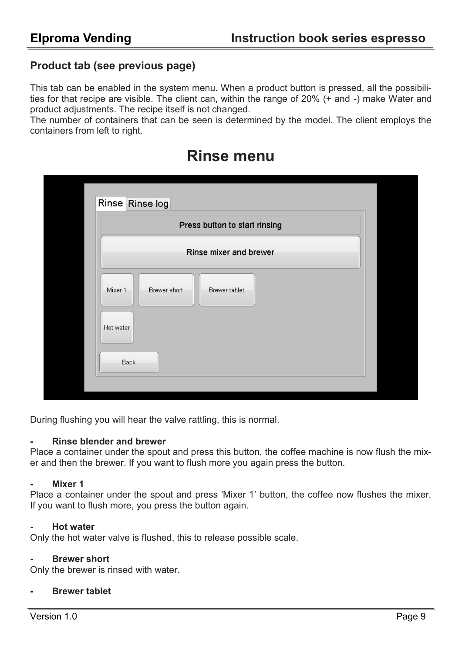### **Product tab (see previous page)**

This tab can be enabled in the system menu. When a product button is pressed, all the possibilities for that recipe are visible. The client can, within the range of 20% (+ and -) make Water and product adjustments. The recipe itself is not changed.

The number of containers that can be seen is determined by the model. The client employs the containers from left to right.

|                      |              | Press button to start rinsing |  |
|----------------------|--------------|-------------------------------|--|
|                      |              | Rinse mixer and brewer        |  |
| Mixer 1<br>Hot water | Brewer short | Brewer tablet                 |  |
| Back                 |              |                               |  |

## **Rinse menu**

During flushing you will hear the valve rattling, this is normal.

### **- Rinse blender and brewer**

Place a container under the spout and press this button, the coffee machine is now flush the mixer and then the brewer. If you want to flush more you again press the button.

### **- Mixer 1**

Place a container under the spout and press 'Mixer 1' button, the coffee now flushes the mixer. If you want to flush more, you press the button again.

### **- Hot water**

Only the hot water valve is flushed, this to release possible scale.

### **- Brewer short**

Only the brewer is rinsed with water.

### **- Brewer tablet**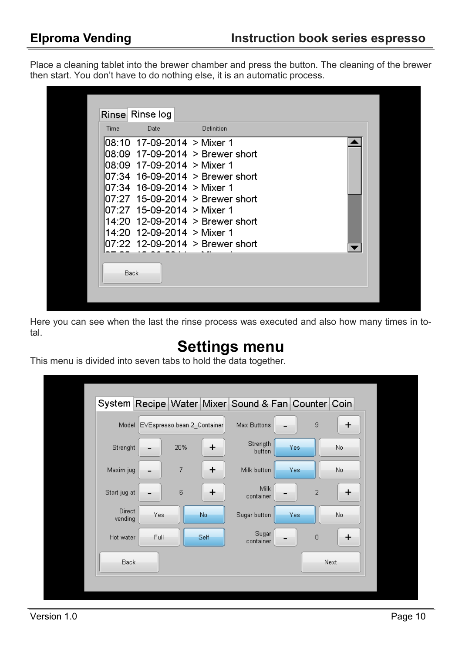Place a cleaning tablet into the brewer chamber and press the button. The cleaning of the brewer then start. You don't have to do nothing else, it is an automatic process.

|      | Rinse Rinse log            |                                  |  |
|------|----------------------------|----------------------------------|--|
| Time | Date                       | Definition                       |  |
|      | 08:10 17-09-2014 > Mixer 1 |                                  |  |
|      |                            | 08:09 17-09-2014 > Brewer short  |  |
|      | 08:09 17-09-2014 > Mixer 1 |                                  |  |
|      |                            | 07:34 16-09-2014 > Brewer short  |  |
|      | 07:34 16-09-2014 > Mixer 1 |                                  |  |
|      |                            | l07:27_15-09-2014_> Brewer short |  |
|      | 07:27 15-09-2014 > Mixer 1 |                                  |  |
|      |                            | 14:20 12-09-2014 > Brewer short  |  |
|      | 14:20 12-09-2014 > Mixer 1 |                                  |  |
|      |                            | 07:22 12-09-2014 > Brewer short  |  |
|      |                            |                                  |  |
| Back |                            |                                  |  |
|      |                            |                                  |  |
|      |                            |                                  |  |

Here you can see when the last the rinse process was executed and also how many times in total.

## **Settings menu**

This menu is divided into seven tabs to hold the data together.

|                          |                                   |                |       | System Recipe Water Mixer Sound & Fan Counter Coin |      |                  |       |  |
|--------------------------|-----------------------------------|----------------|-------|----------------------------------------------------|------|------------------|-------|--|
|                          | Model EVEspresso bean 2_Container |                |       | Max Buttons                                        |      | 9                | +     |  |
| Strenght                 |                                   | 20%            | +     | Strength<br>button                                 | Yes  |                  | No.   |  |
| Maxim jug                |                                   | $\overline{7}$ | +     | Milk button                                        | Yes: |                  | No.   |  |
| Start jug at             |                                   | 6              | +     | Milk<br>container                                  |      | $\overline{2}$   | $\pm$ |  |
| <b>Direct</b><br>vending | Yes                               |                | No.   | Sugar button                                       | Yes. |                  | No.   |  |
| Hot water                | Full                              |                | Self- | Sugar<br>container                                 |      | $\boldsymbol{0}$ | +     |  |
| Back                     |                                   |                |       |                                                    |      |                  | Next  |  |
|                          |                                   |                |       |                                                    |      |                  |       |  |
|                          |                                   |                |       |                                                    |      |                  |       |  |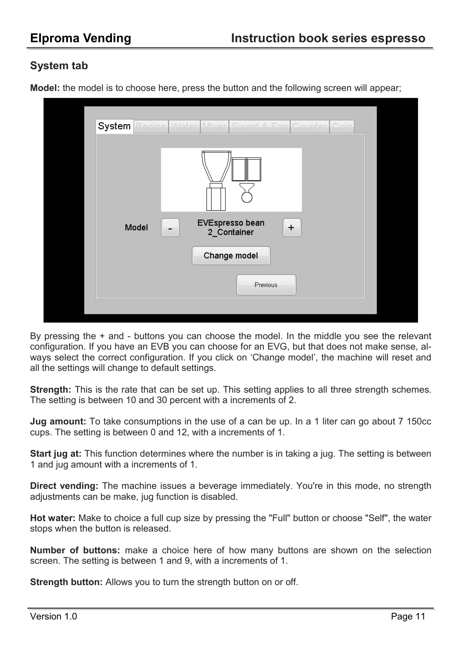### **System tab**

**Model:** the model is to choose here, press the button and the following screen will appear;



By pressing the + and - buttons you can choose the model. In the middle you see the relevant configuration. If you have an EVB you can choose for an EVG, but that does not make sense, always select the correct configuration. If you click on 'Change model', the machine will reset and all the settings will change to default settings.

**Strength:** This is the rate that can be set up. This setting applies to all three strength schemes. The setting is between 10 and 30 percent with a increments of 2.

**Jug amount:** To take consumptions in the use of a can be up. In a 1 liter can go about 7 150cc cups. The setting is between 0 and 12, with a increments of 1.

**Start jug at:** This function determines where the number is in taking a jug. The setting is between 1 and jug amount with a increments of 1.

**Direct vending:** The machine issues a beverage immediately. You're in this mode, no strength adjustments can be make, jug function is disabled.

**Hot water:** Make to choice a full cup size by pressing the "Full" button or choose "Self", the water stops when the button is released.

**Number of buttons:** make a choice here of how many buttons are shown on the selection screen. The setting is between 1 and 9, with a increments of 1.

**Strength button:** Allows you to turn the strength button on or off.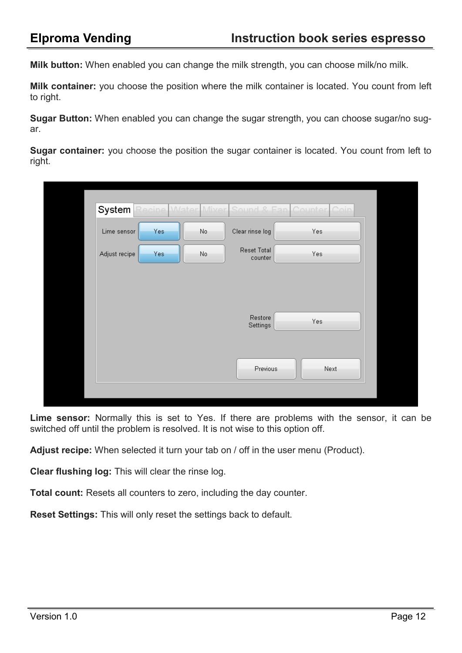**Milk button:** When enabled you can change the milk strength, you can choose milk/no milk.

**Milk container:** you choose the position where the milk container is located. You count from left to right.

**Sugar Button:** When enabled you can change the sugar strength, you can choose sugar/no sugar.

**Sugar container:** you choose the position the sugar container is located. You count from left to right.

| Lime sensor   | Yes: | No. | Clear rinse log        | Yes  |
|---------------|------|-----|------------------------|------|
| Adjust recipe | Yes: | No. | Reset Total<br>counter | Yes  |
|               |      |     |                        |      |
|               |      |     |                        |      |
|               |      |     | Restore<br>Settings    | Yes  |
|               |      |     |                        |      |
|               |      |     | Previous               | Next |

**Lime sensor:** Normally this is set to Yes. If there are problems with the sensor, it can be switched off until the problem is resolved. It is not wise to this option off.

**Adjust recipe:** When selected it turn your tab on / off in the user menu (Product).

**Clear flushing log:** This will clear the rinse log.

**Total count:** Resets all counters to zero, including the day counter.

**Reset Settings:** This will only reset the settings back to default.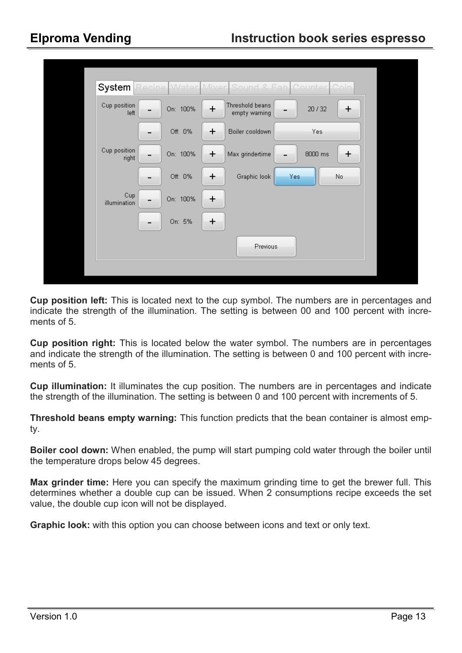| System                | Recine <i>Water</i> Mixer |       |                                  | Sound & Fan Counter Coin |     |  |  |  |  |
|-----------------------|---------------------------|-------|----------------------------------|--------------------------|-----|--|--|--|--|
| Cup position<br>left  | On: 100%                  | +     | Threshold beans<br>empty warning | 20/32                    | +   |  |  |  |  |
|                       | Off: 0%                   | +     | Boiler cooldown                  | Yes                      |     |  |  |  |  |
| Cup position<br>right | On: 100%                  | $\pm$ | Max grindertime                  | 8000 ms                  | +   |  |  |  |  |
|                       | Off: 0%                   | +     | Graphic look                     | Yes                      | No. |  |  |  |  |
| Cup<br>illumination   | On: 100%                  | $\pm$ |                                  |                          |     |  |  |  |  |
|                       | On: 5%                    | +     |                                  |                          |     |  |  |  |  |
|                       | Previous                  |       |                                  |                          |     |  |  |  |  |
|                       |                           |       |                                  |                          |     |  |  |  |  |
|                       |                           |       |                                  |                          |     |  |  |  |  |

**Cup position left:** This is located next to the cup symbol. The numbers are in percentages and indicate the strength of the illumination. The setting is between 00 and 100 percent with increments of 5

**Cup position right:** This is located below the water symbol. The numbers are in percentages and indicate the strength of the illumination. The setting is between 0 and 100 percent with increments of 5.

**Cup illumination:** It illuminates the cup position. The numbers are in percentages and indicate the strength of the illumination. The setting is between 0 and 100 percent with increments of 5.

**Threshold beans empty warning:** This function predicts that the bean container is almost empty.

**Boiler cool down:** When enabled, the pump will start pumping cold water through the boiler until the temperature drops below 45 degrees.

**Max grinder time:** Here you can specify the maximum grinding time to get the brewer full. This determines whether a double cup can be issued. When 2 consumptions recipe exceeds the set value, the double cup icon will not be displayed.

**Graphic look:** with this option you can choose between icons and text or only text.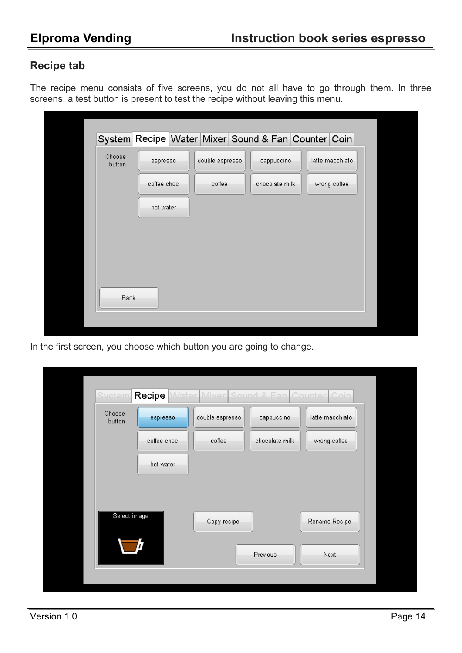### **Recipe tab**

The recipe menu consists of five screens, you do not all have to go through them. In three screens, a test button is present to test the recipe without leaving this menu.

| Choose<br>button | espresso    | double espresso | System Recipe Water Mixer Sound & Fan Counter Coin<br>cappuccino | latte macchiato |
|------------------|-------------|-----------------|------------------------------------------------------------------|-----------------|
|                  | coffee choc | coffee          | chocolate milk                                                   | wrong coffee    |
|                  | hot water   |                 |                                                                  |                 |
|                  |             |                 |                                                                  |                 |
|                  |             |                 |                                                                  |                 |
|                  |             |                 |                                                                  |                 |
|                  |             |                 |                                                                  |                 |

In the first screen, you choose which button you are going to change.

| <b>System</b>    | Recipe      | Water Mixer Sound & Fan Counter Coin |                |                 |  |
|------------------|-------------|--------------------------------------|----------------|-----------------|--|
| Choose<br>button | espresso    | double espresso                      | cappuccino     | latte macchiato |  |
|                  | coffee choc | coffee                               | chocolate milk | wrong coffee    |  |
|                  | hot water   |                                      |                |                 |  |
|                  |             |                                      |                |                 |  |
| Select image     |             | Copy recipe                          |                | Rename Recipe   |  |
|                  |             |                                      | Previous       | Next            |  |
|                  |             |                                      |                |                 |  |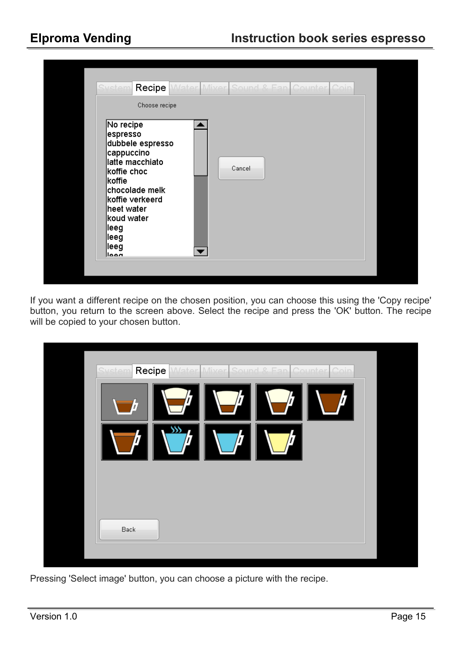| System<br>Recipe<br>Choose recipe                                                                                                                                                                        | Water Mixer Sound & Fan Counter Coin |  |
|----------------------------------------------------------------------------------------------------------------------------------------------------------------------------------------------------------|--------------------------------------|--|
| No recipe<br>espresso<br>dubbele espresso<br>cappuccino<br>latte macchiato<br>koffie choc<br>lkoffie<br>chocolade melk<br>koffie verkeerd<br>heet water<br>koud water<br>∣leeg<br>∣leeg<br>∣leeg<br>ممما | Cancel                               |  |

If you want a different recipe on the chosen position, you can choose this using the 'Copy recipe' button, you return to the screen above. Select the recipe and press the 'OK' button. The recipe will be copied to your chosen button.

| System Recipe<br>Water Mixer Sound & Fan Counter Coin<br>$\gg$<br>$\vec{J}$ |  |
|-----------------------------------------------------------------------------|--|
| Back                                                                        |  |
|                                                                             |  |

Pressing 'Select image' button, you can choose a picture with the recipe.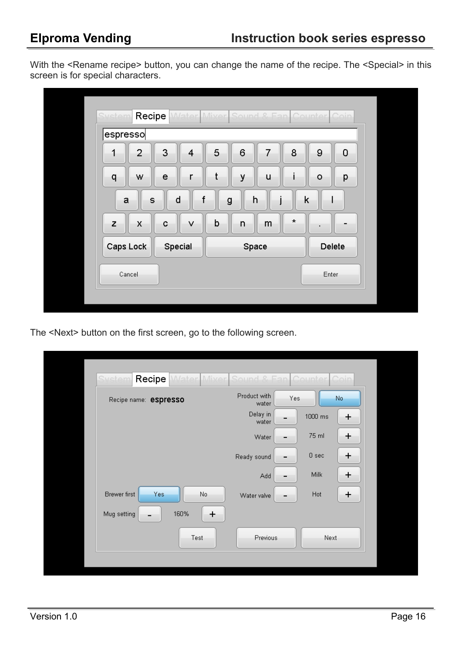With the <Rename recipe> button, you can change the name of the recipe. The <Special> in this screen is for special characters.

| espresso  |                              |   |       |   |         |       |        |
|-----------|------------------------------|---|-------|---|---------|-------|--------|
| 2         | 3<br>$\overline{\mathbf{4}}$ | 5 | 6     |   | 8       | 9     | 0      |
| W<br>q    | e<br>r                       |   | У     | u |         | ۰     | p      |
| a<br>S    | d<br>f                       | g | h     |   | k       |       |        |
| z<br>X    | v<br>c                       | þ | n     | m | $\star$ | ٠     |        |
| Caps Lock | Special                      |   | Space |   |         |       | Delete |
| Cancel    |                              |   |       |   |         | Enter |        |

The <Next> button on the first screen, go to the following screen.

| <b>System</b><br>Recipe |           | Water Mixer Sound & Fan Counter Coin |                       |
|-------------------------|-----------|--------------------------------------|-----------------------|
| Recipe name: espresso   |           | Product with<br>water                | Yes<br>No.            |
|                         |           | Delay in<br>water                    | 1000 ms<br>÷          |
|                         |           | Water                                | 75 ml<br>÷            |
|                         |           | Ready sound                          | 0 <sub>sec</sub><br>+ |
|                         |           | Add                                  | Milk<br>$\ddag$       |
| Brewer first<br>Yes.    | No.       | Water valve                          | Hot<br>÷              |
| Mug setting             | 160%<br>+ |                                      |                       |
|                         | Test      | Previous                             | Next                  |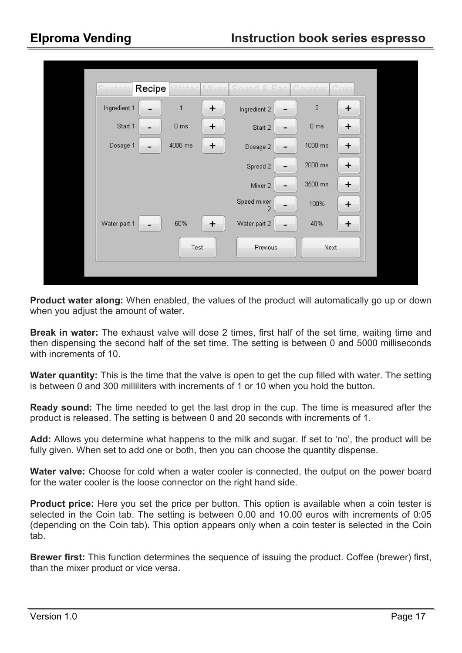| System       | Recipe<br><b>Water Miver</b> | Sound & Fan Counter Coin |                 |       |
|--------------|------------------------------|--------------------------|-----------------|-------|
| Ingredient 1 | $\mathbf{1}$<br>÷            | Ingredient 2<br>-        | $\sqrt{2}$      | $\pm$ |
| Start 1      | $0 \text{ ms}$<br>÷          | Start 2<br>-             | 0 <sub>ms</sub> | ÷     |
| Dosage 1     | 4000 ms<br>$\ddot{}$         | Dosage 2<br>-            | 1000 ms         | ÷     |
|              |                              | Spread 2<br>-            | 2000 ms         | +     |
|              |                              | Mixer 2<br>-             | 3500 ms         | +     |
|              |                              | Speed mixer<br>-         | 100%            | ÷     |
| Water part 1 | 60%<br>÷                     | Water part 2<br>-        | 40%             | ÷     |
|              | Test                         | Previous                 | Next            |       |
|              |                              |                          |                 |       |
|              |                              |                          |                 |       |

**Product water along:** When enabled, the values of the product will automatically go up or down when you adjust the amount of water.

**Break in water:** The exhaust valve will dose 2 times, first half of the set time, waiting time and then dispensing the second half of the set time. The setting is between 0 and 5000 milliseconds with increments of 10.

**Water quantity:** This is the time that the valve is open to get the cup filled with water. The setting is between 0 and 300 milliliters with increments of 1 or 10 when you hold the button.

**Ready sound:** The time needed to get the last drop in the cup. The time is measured after the product is released. The setting is between 0 and 20 seconds with increments of 1.

**Add:** Allows you determine what happens to the milk and sugar. If set to 'no', the product will be fully given. When set to add one or both, then you can choose the quantity dispense.

**Water valve:** Choose for cold when a water cooler is connected, the output on the power board for the water cooler is the loose connector on the right hand side.

**Product price:** Here you set the price per button. This option is available when a coin tester is selected in the Coin tab. The setting is between 0.00 and 10.00 euros with increments of 0:05 (depending on the Coin tab). This option appears only when a coin tester is selected in the Coin tab.

**Brewer first:** This function determines the sequence of issuing the product. Coffee (brewer) first, than the mixer product or vice versa.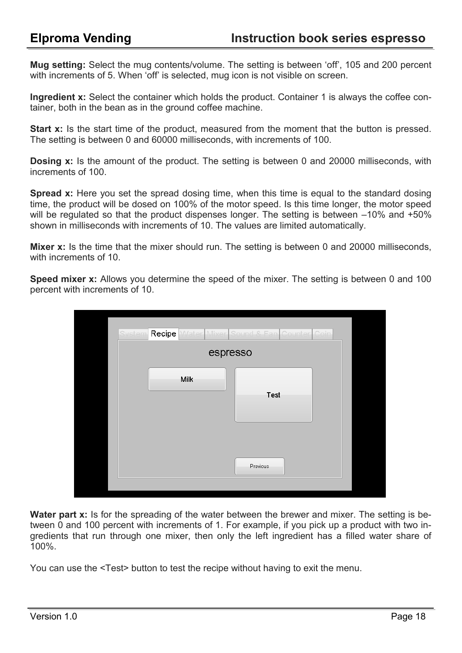**Mug setting:** Select the mug contents/volume. The setting is between 'off', 105 and 200 percent with increments of 5. When 'off' is selected, mug icon is not visible on screen.

**Ingredient x:** Select the container which holds the product. Container 1 is always the coffee container, both in the bean as in the ground coffee machine.

**Start x:** Is the start time of the product, measured from the moment that the button is pressed. The setting is between 0 and 60000 milliseconds, with increments of 100.

**Dosing x:** Is the amount of the product. The setting is between 0 and 20000 milliseconds, with increments of 100.

**Spread x:** Here you set the spread dosing time, when this time is equal to the standard dosing time, the product will be dosed on 100% of the motor speed. Is this time longer, the motor speed will be regulated so that the product dispenses longer. The setting is between  $-10\%$  and  $+50\%$ shown in milliseconds with increments of 10. The values are limited automatically.

**Mixer x:** Is the time that the mixer should run. The setting is between 0 and 20000 milliseconds, with increments of 10

**Speed mixer x:** Allows you determine the speed of the mixer. The setting is between 0 and 100 percent with increments of 10.

| System Recipe Water Mixer Sound & Fan Counter Coin |          |
|----------------------------------------------------|----------|
| espresso                                           |          |
| Milk                                               | Test     |
|                                                    | Previous |

**Water part x:** Is for the spreading of the water between the brewer and mixer. The setting is between 0 and 100 percent with increments of 1. For example, if you pick up a product with two ingredients that run through one mixer, then only the left ingredient has a filled water share of 100%.

You can use the <Test> button to test the recipe without having to exit the menu.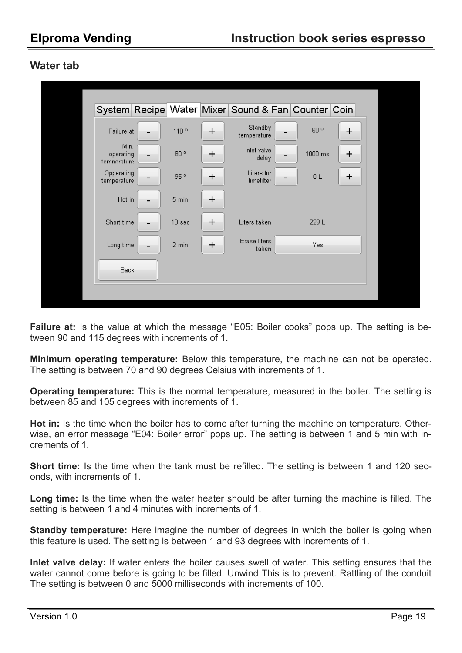### **Water tab**

|                                  |                   |       | System Recipe Water Mixer Sound & Fan Counter Coin |                 |   |  |
|----------------------------------|-------------------|-------|----------------------------------------------------|-----------------|---|--|
| Failure at                       | 110°              | +     | Standby<br>temperature                             | 60 <sup>°</sup> | + |  |
| Min.<br>operating<br>temperature | $80$ $^{\circ}$   | ÷     | Inlet valve<br>delay                               | 1000 ms         | + |  |
| Opperating<br>temperature        | 95°               | $\pm$ | Liters for<br>limefilter                           | 0 <sub>L</sub>  | + |  |
| Hot in                           | 5 min             | ÷     |                                                    |                 |   |  |
| Short time                       | 10 <sub>sec</sub> | +     | Liters taken                                       | 229 L           |   |  |
| Long time                        | 2 min             | +     | Erase liters<br>taken                              | Yes             |   |  |
| Back                             |                   |       |                                                    |                 |   |  |
|                                  |                   |       |                                                    |                 |   |  |

**Failure at:** Is the value at which the message "E05: Boiler cooks" pops up. The setting is between 90 and 115 degrees with increments of 1.

**Minimum operating temperature:** Below this temperature, the machine can not be operated. The setting is between 70 and 90 degrees Celsius with increments of 1.

**Operating temperature:** This is the normal temperature, measured in the boiler. The setting is between 85 and 105 degrees with increments of 1.

**Hot in:** Is the time when the boiler has to come after turning the machine on temperature. Otherwise, an error message "E04: Boiler error" pops up. The setting is between 1 and 5 min with increments of 1.

**Short time:** Is the time when the tank must be refilled. The setting is between 1 and 120 seconds, with increments of 1.

**Long time:** Is the time when the water heater should be after turning the machine is filled. The setting is between 1 and 4 minutes with increments of 1.

**Standby temperature:** Here imagine the number of degrees in which the boiler is going when this feature is used. The setting is between 1 and 93 degrees with increments of 1.

**Inlet valve delay:** If water enters the boiler causes swell of water. This setting ensures that the water cannot come before is going to be filled. Unwind This is to prevent. Rattling of the conduit The setting is between 0 and 5000 milliseconds with increments of 100.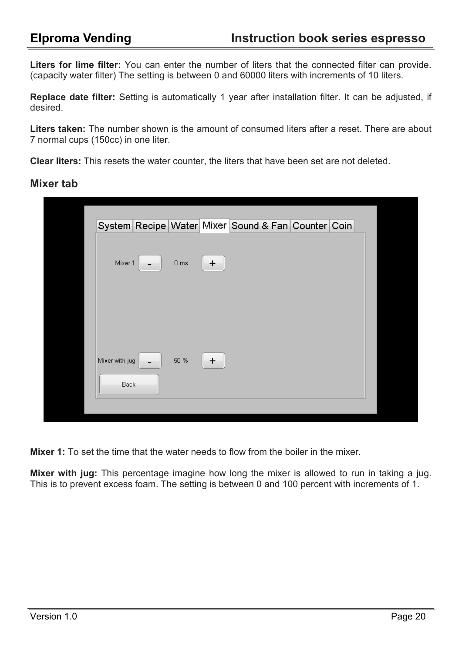**Liters for lime filter:** You can enter the number of liters that the connected filter can provide. (capacity water filter) The setting is between 0 and 60000 liters with increments of 10 liters.

**Replace date filter:** Setting is automatically 1 year after installation filter. It can be adjusted, if desired.

Liters taken: The number shown is the amount of consumed liters after a reset. There are about 7 normal cups (150cc) in one liter.

**Clear liters:** This resets the water counter, the liters that have been set are not deleted.

### **Mixer tab**

|                        |     |                 |       |  | System Recipe Water Mixer Sound & Fan Counter Coin |  |
|------------------------|-----|-----------------|-------|--|----------------------------------------------------|--|
| Mixer 1                | - 1 | 0 <sub>ms</sub> | $\pm$ |  |                                                    |  |
| Mixer with jug<br>Back |     | 50 %            | ÷     |  |                                                    |  |

**Mixer 1:** To set the time that the water needs to flow from the boiler in the mixer.

**Mixer with jug:** This percentage imagine how long the mixer is allowed to run in taking a jug. This is to prevent excess foam. The setting is between 0 and 100 percent with increments of 1.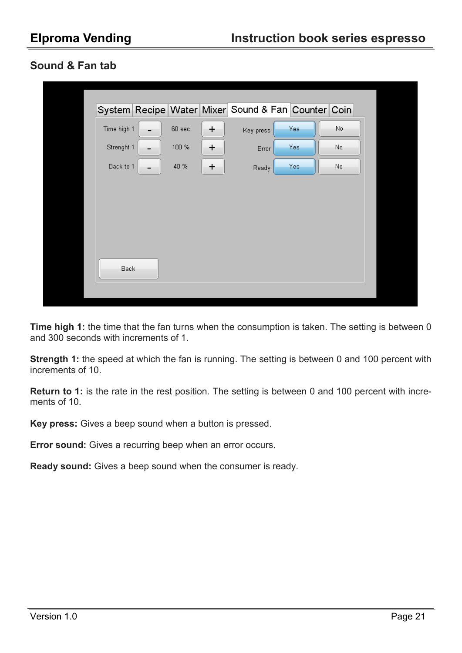### **Sound & Fan tab**

**Time high 1:** the time that the fan turns when the consumption is taken. The setting is between 0 and 300 seconds with increments of 1.

**Strength 1:** the speed at which the fan is running. The setting is between 0 and 100 percent with increments of 10.

**Return to 1:** is the rate in the rest position. The setting is between 0 and 100 percent with increments of 10.

**Key press:** Gives a beep sound when a button is pressed.

**Error sound:** Gives a recurring beep when an error occurs.

**Ready sound:** Gives a beep sound when the consumer is ready.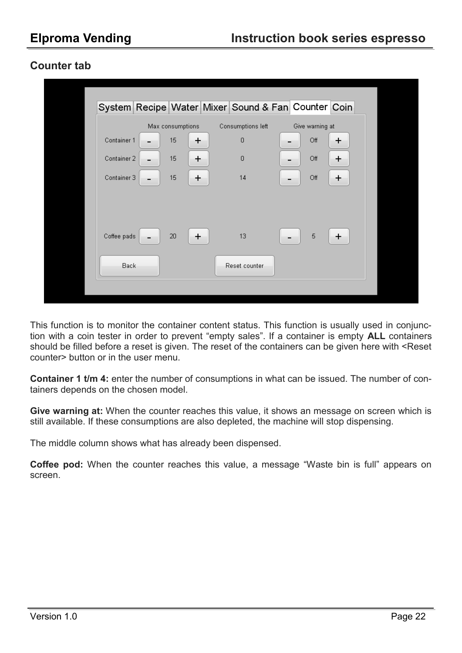### **Counter tab**

| System Recipe Water Mixer Sound & Fan Counter Coin<br>Max consumptions<br>Consumptions left<br>Give warning at<br>Container 1<br>15<br>0<br>Off<br>+<br>÷<br>15<br>Container 2<br>$\overline{0}$<br>Off<br>$\pm$<br>$\pm$<br>-<br>15<br>Container 3<br>14<br>Off<br>÷<br>÷<br>Coffee pads<br>13<br>5<br>20<br>÷<br>$\pm$<br>Back<br>Reset counter |  |  |  |  |  |
|---------------------------------------------------------------------------------------------------------------------------------------------------------------------------------------------------------------------------------------------------------------------------------------------------------------------------------------------------|--|--|--|--|--|
|                                                                                                                                                                                                                                                                                                                                                   |  |  |  |  |  |
|                                                                                                                                                                                                                                                                                                                                                   |  |  |  |  |  |
|                                                                                                                                                                                                                                                                                                                                                   |  |  |  |  |  |
|                                                                                                                                                                                                                                                                                                                                                   |  |  |  |  |  |
|                                                                                                                                                                                                                                                                                                                                                   |  |  |  |  |  |
|                                                                                                                                                                                                                                                                                                                                                   |  |  |  |  |  |

This function is to monitor the container content status. This function is usually used in conjunction with a coin tester in order to prevent "empty sales". If a container is empty **ALL** containers should be filled before a reset is given. The reset of the containers can be given here with <Reset counter> button or in the user menu.

**Container 1 t/m 4:** enter the number of consumptions in what can be issued. The number of containers depends on the chosen model.

**Give warning at:** When the counter reaches this value, it shows an message on screen which is still available. If these consumptions are also depleted, the machine will stop dispensing.

The middle column shows what has already been dispensed.

**Coffee pod:** When the counter reaches this value, a message "Waste bin is full" appears on screen.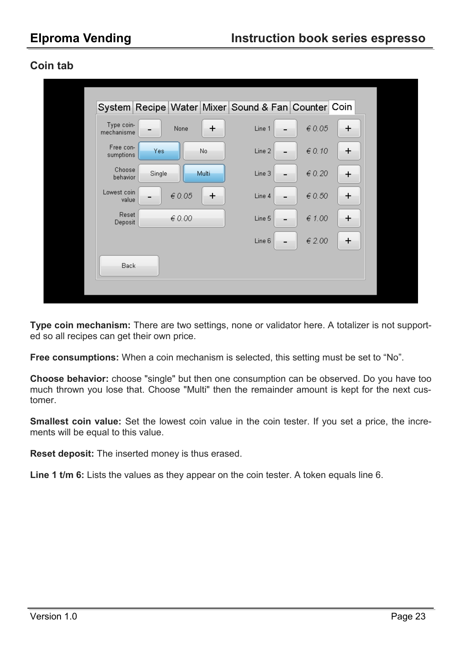### **Coin tab**

|                          |        |                 |         | System Recipe Water Mixer Sound & Fan Counter Coin |               |           |  |
|--------------------------|--------|-----------------|---------|----------------------------------------------------|---------------|-----------|--|
| Type coin-<br>mechanisme |        | None            | $\ddag$ | Line 1                                             | $\in 0.05$    | $\ddot{}$ |  |
| Free con-<br>sumptions   | Yes    |                 | No      | Line 2                                             | $\in 0.10$    | ÷         |  |
| Choose<br>behavior       | Single |                 | Multi   | Line 3                                             | $\in 0.20$    | ÷         |  |
| Lowest coin<br>value     |        | $\epsilon$ 0.05 | $\pm$   | Line 4                                             | $\in$ 0.50    | $\pm$     |  |
| Reset<br>Deposit         |        | $\epsilon$ 0.00 |         | Line 5                                             | $\notin$ 1.00 | ÷         |  |
|                          |        |                 |         | Line 6                                             | ∈ 2.00        | ÷         |  |
| Back                     |        |                 |         |                                                    |               |           |  |
|                          |        |                 |         |                                                    |               |           |  |

**Type coin mechanism:** There are two settings, none or validator here. A totalizer is not supported so all recipes can get their own price.

**Free consumptions:** When a coin mechanism is selected, this setting must be set to "No".

**Choose behavior:** choose "single" but then one consumption can be observed. Do you have too much thrown you lose that. Choose "Multi" then the remainder amount is kept for the next customer.

**Smallest coin value:** Set the lowest coin value in the coin tester. If you set a price, the increments will be equal to this value.

**Reset deposit:** The inserted money is thus erased.

**Line 1 t/m 6:** Lists the values as they appear on the coin tester. A token equals line 6.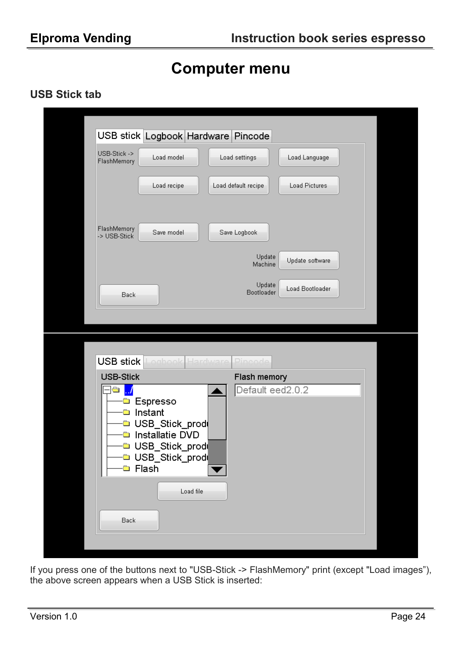## **Computer menu**

### **USB Stick tab**

|                                                                                | USB stick Logbook Hardware Pincode                                                                                                                      |                                             |                      |  |
|--------------------------------------------------------------------------------|---------------------------------------------------------------------------------------------------------------------------------------------------------|---------------------------------------------|----------------------|--|
| USB-Stick -><br>FlashMemory                                                    | Load model                                                                                                                                              | Load settings                               | Load Language        |  |
|                                                                                | Load recipe                                                                                                                                             | Load default recipe                         | <b>Load Pictures</b> |  |
| FlashMemory<br>-> USB-Stick                                                    | Save model                                                                                                                                              | Save Logbook                                |                      |  |
|                                                                                |                                                                                                                                                         | Update<br>Machine                           | Update software      |  |
| Back                                                                           |                                                                                                                                                         | Update<br>Bootloader                        | Load Bootloader      |  |
|                                                                                |                                                                                                                                                         |                                             |                      |  |
| USB stick<br><b>USB-Stick</b><br>Ô<br>$\blacksquare$<br>$\blacksquare$<br>Back | Hardware<br>Logbook<br>Espresso<br>Instant<br>USB_Stick_prod<br>Installatie DVD<br>□ USB_Stick_prodi<br>□ USB_Stick_prod<br><b>□</b> Flash<br>Load file | Pincode<br>Flash memory<br>Default eed2.0.2 |                      |  |

If you press one of the buttons next to "USB-Stick -> FlashMemory" print (except "Load images"), the above screen appears when a USB Stick is inserted: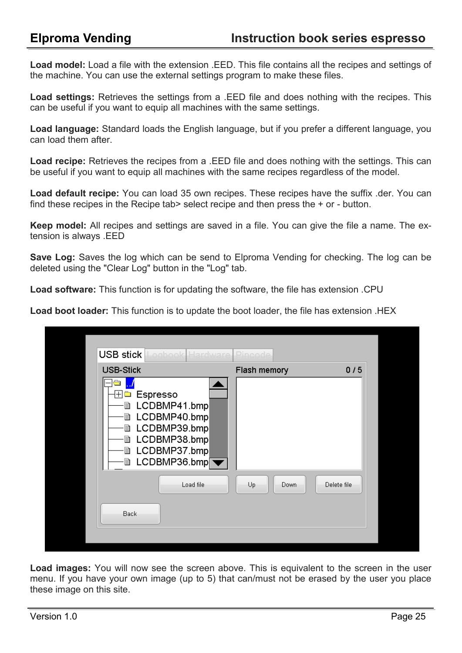**Load model:** Load a file with the extension .EED. This file contains all the recipes and settings of the machine. You can use the external settings program to make these files.

**Load settings:** Retrieves the settings from a .EED file and does nothing with the recipes. This can be useful if you want to equip all machines with the same settings.

**Load language:** Standard loads the English language, but if you prefer a different language, you can load them after.

**Load recipe:** Retrieves the recipes from a .EED file and does nothing with the settings. This can be useful if you want to equip all machines with the same recipes regardless of the model.

**Load default recipe:** You can load 35 own recipes. These recipes have the suffix .der. You can find these recipes in the Recipe tab> select recipe and then press the + or - button.

**Keep model:** All recipes and settings are saved in a file. You can give the file a name. The extension is always .EED

**Save Log:** Saves the log which can be send to Elproma Vending for checking. The log can be deleted using the "Clear Log" button in the "Log" tab.

**Load software:** This function is for updating the software, the file has extension .CPU

**Load boot loader:** This function is to update the boot loader, the file has extension .HEX

| USB stick<br>Logbook Hardware                                                                                                                                         | Pincode                   |  |
|-----------------------------------------------------------------------------------------------------------------------------------------------------------------------|---------------------------|--|
| <b>USB-Stick</b>                                                                                                                                                      | Flash memory<br>0/5       |  |
| $\overline{+}$<br><b>□</b> Espresso<br>LCDBMP41.bmp<br>B<br>LCDBMP40.bmp<br>≘<br>LCDBMP39.bmp<br>▤<br>LCDBMP38.bmp<br>B<br>LCDBMP37.bmp<br>▤<br><b>■ LCDBMP36.bmp</b> |                           |  |
| Load file<br>Back                                                                                                                                                     | Delete file<br>Up<br>Down |  |
|                                                                                                                                                                       |                           |  |

**Load images:** You will now see the screen above. This is equivalent to the screen in the user menu. If you have your own image (up to 5) that can/must not be erased by the user you place these image on this site.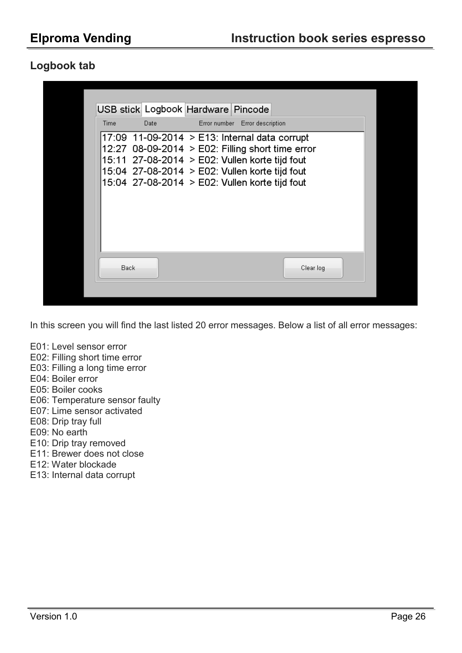### **Logbook tab**



In this screen you will find the last listed 20 error messages. Below a list of all error messages:

- E01: Level sensor error
- E02: Filling short time error
- E03: Filling a long time error
- E04: Boiler error
- E05: Boiler cooks
- E06: Temperature sensor faulty
- E07: Lime sensor activated
- E08: Drip tray full
- E09: No earth
- E10: Drip tray removed
- E11: Brewer does not close
- E12: Water blockade
- E13: Internal data corrupt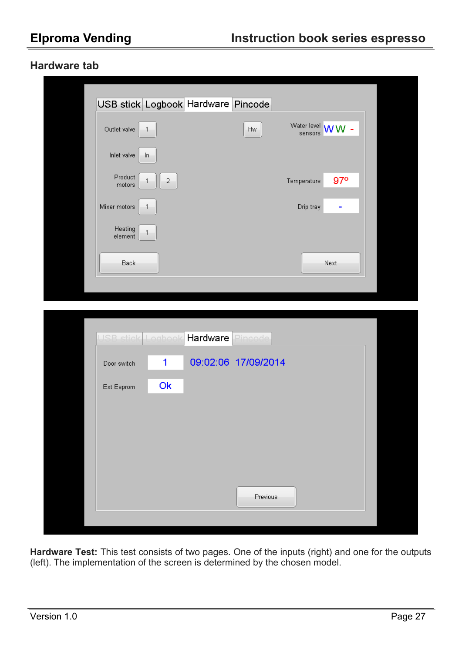### **Hardware tab**

| Outlet valve<br>$\mathbf{1}$              |                | <b>Hw</b>           | Water level <b>WW</b> -<br>sensors |  |
|-------------------------------------------|----------------|---------------------|------------------------------------|--|
| Inlet valve<br>In.                        |                |                     |                                    |  |
| Product<br>1<br>motors                    | $\overline{a}$ |                     | $97^\circ$<br>Temperature          |  |
| Mixer motors<br>$\overline{1}$            |                |                     | Drip tray<br>۰                     |  |
| <b>Heating</b><br>$\mathbf{1}$<br>element |                |                     |                                    |  |
| Back                                      |                |                     | Next                               |  |
|                                           |                |                     |                                    |  |
|                                           |                |                     |                                    |  |
|                                           |                |                     |                                    |  |
| USB stick Logbook                         | Hardware       | Pincode             |                                    |  |
| 1<br>Door switch                          |                | 09:02:06 17/09/2014 |                                    |  |
| Ok<br>Ext Eeprom                          |                |                     |                                    |  |
|                                           |                |                     |                                    |  |
|                                           |                |                     |                                    |  |
|                                           |                |                     |                                    |  |

**Hardware Test:** This test consists of two pages. One of the inputs (right) and one for the outputs (left). The implementation of the screen is determined by the chosen model.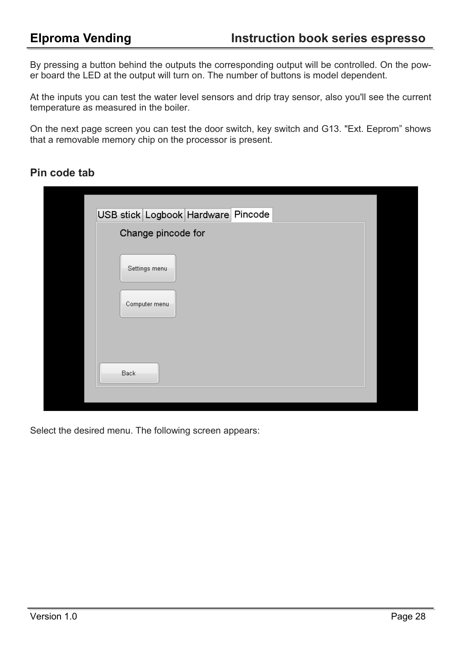By pressing a button behind the outputs the corresponding output will be controlled. On the power board the LED at the output will turn on. The number of buttons is model dependent.

At the inputs you can test the water level sensors and drip tray sensor, also you'll see the current temperature as measured in the boiler.

On the next page screen you can test the door switch, key switch and G13. "Ext. Eeprom" shows that a removable memory chip on the processor is present.

### **Pin code tab**

| USB stick Logbook Hardware Pincode |  |
|------------------------------------|--|
| Change pincode for                 |  |
| Settings menu                      |  |
| Computer menu                      |  |
|                                    |  |
| Back                               |  |
|                                    |  |

Select the desired menu. The following screen appears: